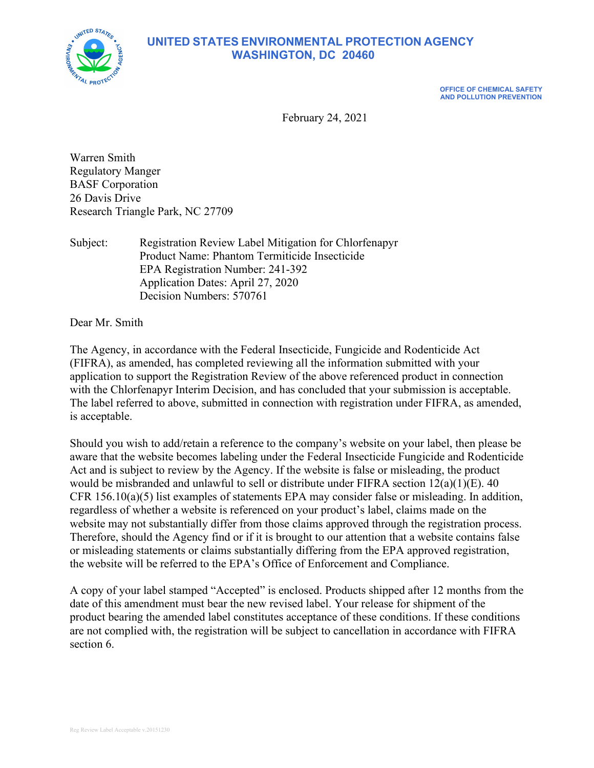

# **UNITED STATES ENVIRONMENTAL PROTECTION AGENCY WASHINGTON, DC 20460**

**OFFICE OF CHEMICAL SAFETY AND POLLUTION PREVENTION**

February 24, 2021

Warren Smith Regulatory Manger BASF Corporation 26 Davis Drive Research Triangle Park, NC 27709

Subject: Registration Review Label Mitigation for Chlorfenapyr Product Name: Phantom Termiticide Insecticide EPA Registration Number: 241-392 Application Dates: April 27, 2020 Decision Numbers: 570761

Dear Mr. Smith

The Agency, in accordance with the Federal Insecticide, Fungicide and Rodenticide Act (FIFRA), as amended, has completed reviewing all the information submitted with your application to support the Registration Review of the above referenced product in connection with the Chlorfenapyr Interim Decision, and has concluded that your submission is acceptable. The label referred to above, submitted in connection with registration under FIFRA, as amended, is acceptable.

Should you wish to add/retain a reference to the company's website on your label, then please be aware that the website becomes labeling under the Federal Insecticide Fungicide and Rodenticide Act and is subject to review by the Agency. If the website is false or misleading, the product would be misbranded and unlawful to sell or distribute under FIFRA section 12(a)(1)(E). 40 CFR 156.10(a)(5) list examples of statements EPA may consider false or misleading. In addition, regardless of whether a website is referenced on your product's label, claims made on the website may not substantially differ from those claims approved through the registration process. Therefore, should the Agency find or if it is brought to our attention that a website contains false or misleading statements or claims substantially differing from the EPA approved registration, the website will be referred to the EPA's Office of Enforcement and Compliance.

A copy of your label stamped "Accepted" is enclosed. Products shipped after 12 months from the date of this amendment must bear the new revised label. Your release for shipment of the product bearing the amended label constitutes acceptance of these conditions. If these conditions are not complied with, the registration will be subject to cancellation in accordance with FIFRA section 6.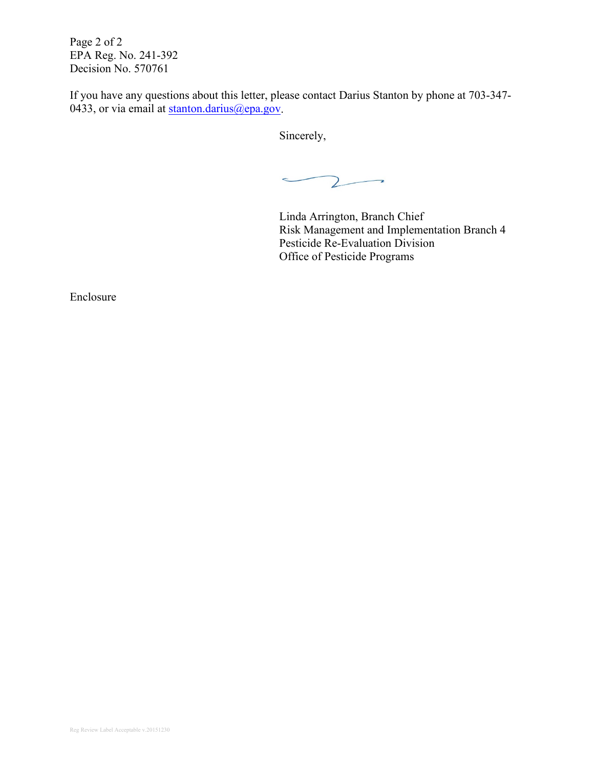Page 2 of 2 EPA Reg. No. 241-392 Decision No. 570761

If you have any questions about this letter, please contact Darius Stanton by phone at 703-347- 0433, or via email at  $\frac{\text{atanton}}{\text{darius}(\omega \text{epa.gov})}$ .

Sincerely,

 $\mathsf{Z}$  $\rightarrow$  $\overline{\phantom{a}}$ 

Linda Arrington, Branch Chief Risk Management and Implementation Branch 4 Pesticide Re-Evaluation Division Office of Pesticide Programs

Enclosure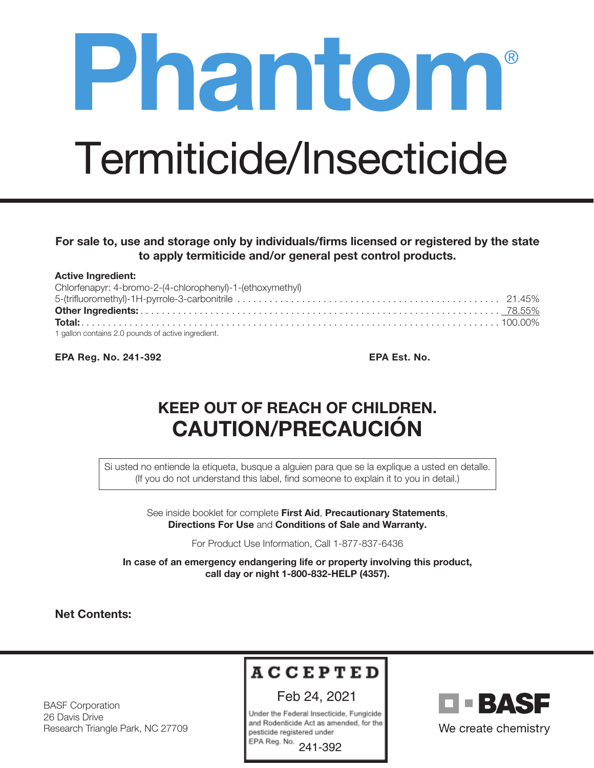# Phantom® Termiticide/Insecticide

# For sale to, use and storage only by individuals/firms licensed or registered by the state to apply termiticide and/or general pest control products.

| <b>Active Ingredient:</b>                                 |  |
|-----------------------------------------------------------|--|
| Chlorfenapyr: 4-bromo-2-(4-chlorophenyl)-1-(ethoxymethyl) |  |
|                                                           |  |
|                                                           |  |
|                                                           |  |
| 1 gallon contains 2.0 pounds of active ingredient.        |  |

EPA Reg. No. 241-392 EPA Est. No.

# KEEP OUT OF REACH OF CHILDREN. CAUTION/PRECAUCIÓN

Si usted no entiende la etiqueta, busque a alguien para que se la explique a usted en detalle. (If you do not understand this label, find someone to explain it to you in detail.)

> See inside booklet for complete First Aid, Precautionary Statements, Directions For Use and Conditions of Sale and Warranty.

> > For Product Use Information, Call 1-877-837-6436

In case of an emergency endangering life or property involving this product, call day or night 1-800-832-HELP (4357).

Net Contents:

# **ACCEPTED**

Feb 24, 2021

Under the Federal Insecticide, Fungicide and Rodenticide Act as amended, for the pesticide registered under

EPA Reg. No. 241-392



BASF Corporation 26 Davis Drive Research Triangle Park, NC 27709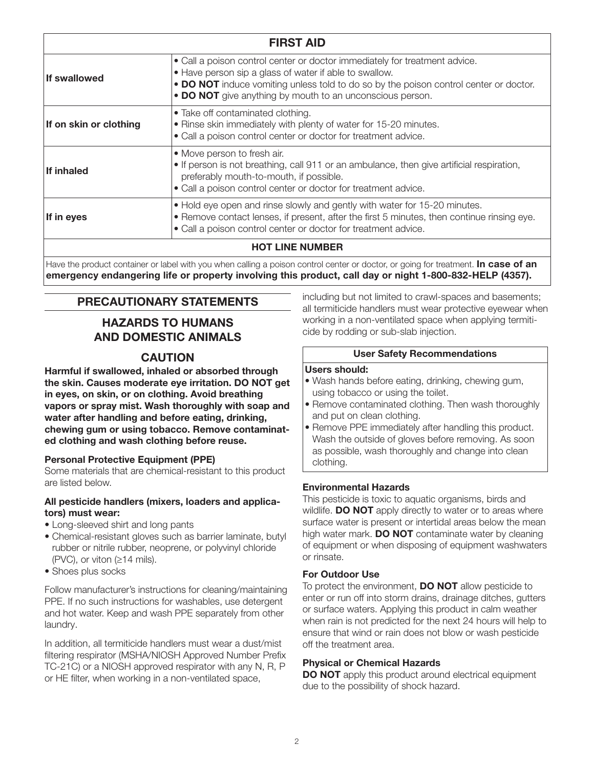| <b>FIRST AID</b>       |                                                                                                                                                                                                                                                                                            |  |  |  |
|------------------------|--------------------------------------------------------------------------------------------------------------------------------------------------------------------------------------------------------------------------------------------------------------------------------------------|--|--|--|
| <b>If swallowed</b>    | • Call a poison control center or doctor immediately for treatment advice.<br>• Have person sip a glass of water if able to swallow.<br>• DO NOT induce vomiting unless told to do so by the poison control center or doctor.<br>• DO NOT give anything by mouth to an unconscious person. |  |  |  |
| If on skin or clothing | • Take off contaminated clothing.<br>• Rinse skin immediately with plenty of water for 15-20 minutes.<br>• Call a poison control center or doctor for treatment advice.                                                                                                                    |  |  |  |
| <b>If inhaled</b>      | • Move person to fresh air.<br>• If person is not breathing, call 911 or an ambulance, then give artificial respiration,<br>preferably mouth-to-mouth, if possible.<br>• Call a poison control center or doctor for treatment advice.                                                      |  |  |  |
| If in eyes             | . Hold eye open and rinse slowly and gently with water for 15-20 minutes.<br>• Remove contact lenses, if present, after the first 5 minutes, then continue rinsing eye.<br>• Call a poison control center or doctor for treatment advice.                                                  |  |  |  |
| <b>HOT LINE NUMBER</b> |                                                                                                                                                                                                                                                                                            |  |  |  |

Have the product container or label with you when calling a poison control center or doctor, or going for treatment. In case of an emergency endangering life or property involving this product, call day or night 1-800-832-HELP (4357).

# PRECAUTIONARY STATEMENTS

# HAZARDS TO HUMANS AND DOMESTIC ANIMALS

## **CAUTION**

Harmful if swallowed, inhaled or absorbed through the skin. Causes moderate eye irritation. DO NOT get in eyes, on skin, or on clothing. Avoid breathing vapors or spray mist. Wash thoroughly with soap and water after handling and before eating, drinking, chewing gum or using tobacco. Remove contaminated clothing and wash clothing before reuse.

#### Personal Protective Equipment (PPE)

Some materials that are chemical-resistant to this product are listed below.

#### All pesticide handlers (mixers, loaders and applicators) must wear:

- Long-sleeved shirt and long pants
- Chemical-resistant gloves such as barrier laminate, butyl rubber or nitrile rubber, neoprene, or polyvinyl chloride (PVC), or viton  $( \geq 14 \text{ miles}).$
- Shoes plus socks

Follow manufacturer's instructions for cleaning/maintaining PPE. If no such instructions for washables, use detergent and hot water. Keep and wash PPE separately from other laundry.

In addition, all termiticide handlers must wear a dust/mist filtering respirator (MSHA/NIOSH Approved Number Prefix TC-21C) or a NIOSH approved respirator with any N, R, P or HE filter, when working in a non-ventilated space,

including but not limited to crawl-spaces and basements; all termiticide handlers must wear protective eyewear when working in a non-ventilated space when applying termiticide by rodding or sub-slab injection.

#### User Safety Recommendations

#### Users should:

- Wash hands before eating, drinking, chewing gum, using tobacco or using the toilet.
- Remove contaminated clothing. Then wash thoroughly and put on clean clothing.
- Remove PPE immediately after handling this product. Wash the outside of gloves before removing. As soon as possible, wash thoroughly and change into clean clothing.

#### Environmental Hazards

This pesticide is toxic to aquatic organisms, birds and wildlife. DO NOT apply directly to water or to areas where surface water is present or intertidal areas below the mean high water mark. DO NOT contaminate water by cleaning of equipment or when disposing of equipment washwaters or rinsate.

#### For Outdoor Use

To protect the environment, **DO NOT** allow pesticide to enter or run off into storm drains, drainage ditches, gutters or surface waters. Applying this product in calm weather when rain is not predicted for the next 24 hours will help to ensure that wind or rain does not blow or wash pesticide off the treatment area.

#### Physical or Chemical Hazards

DO NOT apply this product around electrical equipment due to the possibility of shock hazard.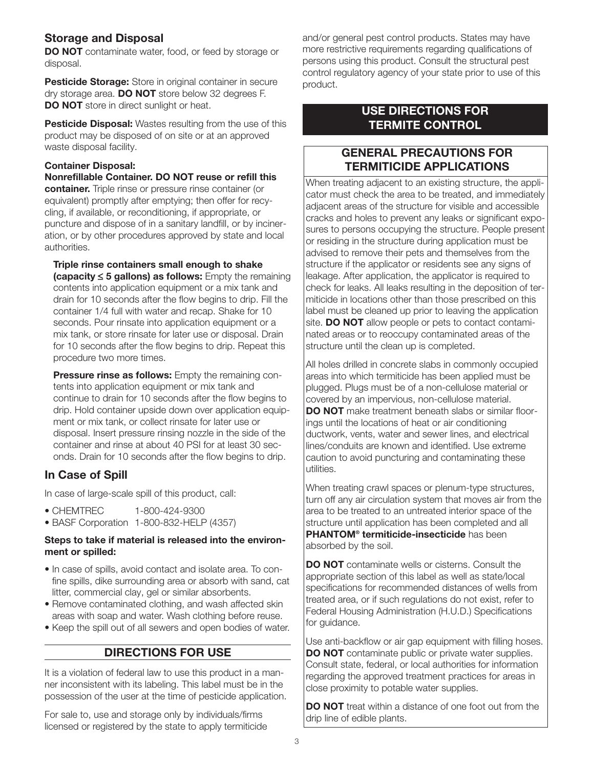# Storage and Disposal

DO NOT contaminate water, food, or feed by storage or disposal.

Pesticide Storage: Store in original container in secure dry storage area. **DO NOT** store below 32 degrees F. DO NOT store in direct sunlight or heat.

Pesticide Disposal: Wastes resulting from the use of this product may be disposed of on site or at an approved waste disposal facility.

#### Container Disposal:

Nonrefillable Container. DO NOT reuse or refill this container. Triple rinse or pressure rinse container (or equivalent) promptly after emptying; then offer for recycling, if available, or reconditioning, if appropriate, or puncture and dispose of in a sanitary landfill, or by incineration, or by other procedures approved by state and local authorities.

Triple rinse containers small enough to shake (capacity  $\leq$  5 gallons) as follows: Empty the remaining contents into application equipment or a mix tank and drain for 10 seconds after the flow begins to drip. Fill the container 1/4 full with water and recap. Shake for 10 seconds. Pour rinsate into application equipment or a mix tank, or store rinsate for later use or disposal. Drain for 10 seconds after the flow begins to drip. Repeat this procedure two more times.

**Pressure rinse as follows:** Empty the remaining contents into application equipment or mix tank and continue to drain for 10 seconds after the flow begins to drip. Hold container upside down over application equipment or mix tank, or collect rinsate for later use or disposal. Insert pressure rinsing nozzle in the side of the container and rinse at about 40 PSI for at least 30 seconds. Drain for 10 seconds after the flow begins to drip.

# In Case of Spill

In case of large-scale spill of this product, call:

- CHEMTREC 1-800-424-9300
- BASF Corporation 1-800-832-HELP (4357)

#### Steps to take if material is released into the environment or spilled:

- In case of spills, avoid contact and isolate area. To confine spills, dike surrounding area or absorb with sand, cat litter, commercial clay, gel or similar absorbents.
- Remove contaminated clothing, and wash affected skin areas with soap and water. Wash clothing before reuse.
- Keep the spill out of all sewers and open bodies of water.

# DIRECTIONS FOR USE

It is a violation of federal law to use this product in a manner inconsistent with its labeling. This label must be in the possession of the user at the time of pesticide application.

For sale to, use and storage only by individuals/firms licensed or registered by the state to apply termiticide and/or general pest control products. States may have more restrictive requirements regarding qualifications of persons using this product. Consult the structural pest control regulatory agency of your state prior to use of this product.

# USE DIRECTIONS FOR TERMITE CONTROL

# GENERAL PRECAUTIONS FOR TERMITICIDE APPLICATIONS

When treating adjacent to an existing structure, the applicator must check the area to be treated, and immediately adjacent areas of the structure for visible and accessible cracks and holes to prevent any leaks or significant exposures to persons occupying the structure. People present or residing in the structure during application must be advised to remove their pets and themselves from the structure if the applicator or residents see any signs of leakage. After application, the applicator is required to check for leaks. All leaks resulting in the deposition of termiticide in locations other than those prescribed on this label must be cleaned up prior to leaving the application site. **DO NOT** allow people or pets to contact contaminated areas or to reoccupy contaminated areas of the structure until the clean up is completed.

All holes drilled in concrete slabs in commonly occupied areas into which termiticide has been applied must be plugged. Plugs must be of a non-cellulose material or covered by an impervious, non-cellulose material. DO NOT make treatment beneath slabs or similar floorings until the locations of heat or air conditioning ductwork, vents, water and sewer lines, and electrical lines/conduits are known and identified. Use extreme caution to avoid puncturing and contaminating these utilities.

When treating crawl spaces or plenum-type structures, turn off any air circulation system that moves air from the area to be treated to an untreated interior space of the structure until application has been completed and all **PHANTOM<sup>®</sup> termiticide-insecticide** has been absorbed by the soil.

DO NOT contaminate wells or cisterns. Consult the appropriate section of this label as well as state/local specifications for recommended distances of wells from treated area, or if such regulations do not exist, refer to Federal Housing Administration (H.U.D.) Specifications for guidance.

Use anti-backflow or air gap equipment with filling hoses. **DO NOT** contaminate public or private water supplies. Consult state, federal, or local authorities for information regarding the approved treatment practices for areas in close proximity to potable water supplies.

**DO NOT** treat within a distance of one foot out from the drip line of edible plants.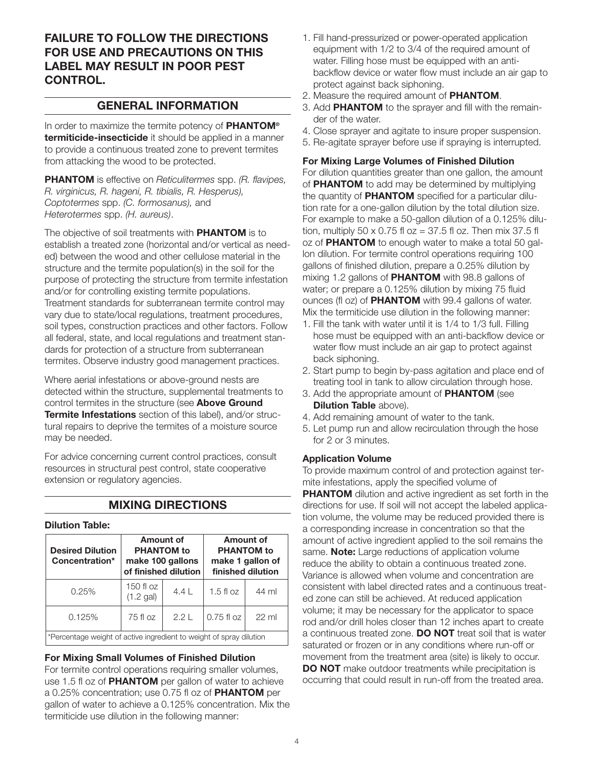# FAILURE TO FOLLOW THE DIRECTIONS FOR USE AND PRECAUTIONS ON THIS LABEL MAY RESULT IN POOR PEST CONTROL.

# GENERAL INFORMATION

In order to maximize the termite potency of **PHANTOM®** termiticide-insecticide it should be applied in a manner to provide a continuous treated zone to prevent termites from attacking the wood to be protected.

**PHANTOM** is effective on Reticulitermes spp. (R. flavipes, R. virginicus, R. hageni, R. tibialis, R. Hesperus), Coptotermes spp. (C. formosanus), and Heterotermes spp. (H. aureus).

The objective of soil treatments with **PHANTOM** is to establish a treated zone (horizontal and/or vertical as needed) between the wood and other cellulose material in the structure and the termite population(s) in the soil for the purpose of protecting the structure from termite infestation and/or for controlling existing termite populations. Treatment standards for subterranean termite control may vary due to state/local regulations, treatment procedures, soil types, construction practices and other factors. Follow all federal, state, and local regulations and treatment standards for protection of a structure from subterranean termites. Observe industry good management practices.

Where aerial infestations or above-ground nests are detected within the structure, supplemental treatments to control termites in the structure (see Above Ground **Termite Infestations** section of this label), and/or structural repairs to deprive the termites of a moisture source may be needed.

For advice concerning current control practices, consult resources in structural pest control, state cooperative extension or regulatory agencies.

# MIXING DIRECTIONS

#### Dilution Table:

| <b>Desired Dilution</b><br>Concentration*                           | Amount of<br><b>PHANTOM</b> to<br>make 100 gallons<br>of finished dilution |       | Amount of<br><b>PHANTOM</b> to<br>make 1 gallon of<br>finished dilution |                 |  |
|---------------------------------------------------------------------|----------------------------------------------------------------------------|-------|-------------------------------------------------------------------------|-----------------|--|
| 0.25%                                                               | 150 fl $oz$<br>(1.2 gal)                                                   | $4.4$ | $1.5$ fl oz                                                             | 44 ml           |  |
| 0.125%                                                              | 75 fl oz                                                                   | 2.21  | $0.75$ fl $oz$                                                          | $22 \text{ ml}$ |  |
| *Percentage weight of active ingredient to weight of spray dilution |                                                                            |       |                                                                         |                 |  |

For Mixing Small Volumes of Finished Dilution

For termite control operations requiring smaller volumes, use 1.5 fl oz of **PHANTOM** per gallon of water to achieve a 0.25% concentration; use 0.75 fl oz of PHANTOM per gallon of water to achieve a 0.125% concentration. Mix the termiticide use dilution in the following manner:

- 1. Fill hand-pressurized or power-operated application equipment with 1/2 to 3/4 of the required amount of water. Filling hose must be equipped with an antibackflow device or water flow must include an air gap to protect against back siphoning.
- 2. Measure the required amount of PHANTOM.
- 3. Add PHANTOM to the sprayer and fill with the remainder of the water.
- 4. Close sprayer and agitate to insure proper suspension.
- 5. Re-agitate sprayer before use if spraying is interrupted.

For Mixing Large Volumes of Finished Dilution

For dilution quantities greater than one gallon, the amount of **PHANTOM** to add may be determined by multiplying the quantity of **PHANTOM** specified for a particular dilution rate for a one-gallon dilution by the total dilution size. For example to make a 50-gallon dilution of a 0.125% dilution, multiply 50 x 0.75 fl  $oz = 37.5$  fl oz. Then mix 37.5 fl oz of PHANTOM to enough water to make a total 50 gallon dilution. For termite control operations requiring 100 gallons of finished dilution, prepare a 0.25% dilution by mixing 1.2 gallons of **PHANTOM** with 98.8 gallons of water; or prepare a 0.125% dilution by mixing 75 fluid ounces (fl oz) of **PHANTOM** with 99.4 gallons of water. Mix the termiticide use dilution in the following manner:

- 1. Fill the tank with water until it is 1/4 to 1/3 full. Filling hose must be equipped with an anti-backflow device or water flow must include an air gap to protect against back siphoning.
- 2. Start pump to begin by-pass agitation and place end of treating tool in tank to allow circulation through hose.
- 3. Add the appropriate amount of **PHANTOM** (see Dilution Table above).
- 4. Add remaining amount of water to the tank.
- 5. Let pump run and allow recirculation through the hose for 2 or 3 minutes.

#### Application Volume

To provide maximum control of and protection against termite infestations, apply the specified volume of **PHANTOM** dilution and active ingredient as set forth in the directions for use. If soil will not accept the labeled application volume, the volume may be reduced provided there is a corresponding increase in concentration so that the amount of active ingredient applied to the soil remains the same. **Note:** Large reductions of application volume reduce the ability to obtain a continuous treated zone. Variance is allowed when volume and concentration are consistent with label directed rates and a continuous treated zone can still be achieved. At reduced application volume; it may be necessary for the applicator to space rod and/or drill holes closer than 12 inches apart to create a continuous treated zone. **DO NOT** treat soil that is water saturated or frozen or in any conditions where run-off or movement from the treatment area (site) is likely to occur. DO NOT make outdoor treatments while precipitation is occurring that could result in run-off from the treated area.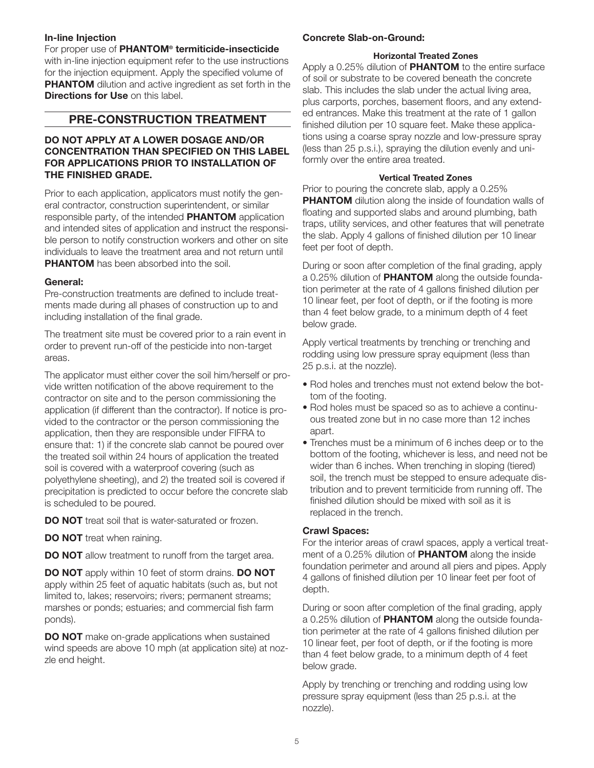#### In-line Injection

For proper use of **PHANTOM<sup>®</sup> termiticide-insecticide** with in-line injection equipment refer to the use instructions for the injection equipment. Apply the specified volume of **PHANTOM** dilution and active ingredient as set forth in the Directions for Use on this label

## PRE-CONSTRUCTION TREATMENT

#### DO NOT APPLY AT A LOWER DOSAGE AND/OR CONCENTRATION THAN SPECIFIED ON THIS LABEL FOR APPLICATIONS PRIOR TO INSTALLATION OF THE FINISHED GRADE.

Prior to each application, applicators must notify the general contractor, construction superintendent, or similar responsible party, of the intended **PHANTOM** application and intended sites of application and instruct the responsible person to notify construction workers and other on site individuals to leave the treatment area and not return until **PHANTOM** has been absorbed into the soil.

#### General:

Pre-construction treatments are defined to include treatments made during all phases of construction up to and including installation of the final grade.

The treatment site must be covered prior to a rain event in order to prevent run-off of the pesticide into non-target areas.

The applicator must either cover the soil him/herself or provide written notification of the above requirement to the contractor on site and to the person commissioning the application (if different than the contractor). If notice is provided to the contractor or the person commissioning the application, then they are responsible under FIFRA to ensure that: 1) if the concrete slab cannot be poured over the treated soil within 24 hours of application the treated soil is covered with a waterproof covering (such as polyethylene sheeting), and 2) the treated soil is covered if precipitation is predicted to occur before the concrete slab is scheduled to be poured.

DO NOT treat soil that is water-saturated or frozen.

DO NOT treat when raining.

**DO NOT** allow treatment to runoff from the target area.

DO NOT apply within 10 feet of storm drains. DO NOT apply within 25 feet of aquatic habitats (such as, but not limited to, lakes; reservoirs; rivers; permanent streams; marshes or ponds; estuaries; and commercial fish farm ponds).

**DO NOT** make on-grade applications when sustained wind speeds are above 10 mph (at application site) at nozzle end height.

#### Concrete Slab-on-Ground:

#### Horizontal Treated Zones

Apply a 0.25% dilution of **PHANTOM** to the entire surface of soil or substrate to be covered beneath the concrete slab. This includes the slab under the actual living area, plus carports, porches, basement floors, and any extended entrances. Make this treatment at the rate of 1 gallon finished dilution per 10 square feet. Make these applications using a coarse spray nozzle and low-pressure spray (less than 25 p.s.i.), spraying the dilution evenly and uniformly over the entire area treated.

#### Vertical Treated Zones

Prior to pouring the concrete slab, apply a 0.25% **PHANTOM** dilution along the inside of foundation walls of floating and supported slabs and around plumbing, bath traps, utility services, and other features that will penetrate the slab. Apply 4 gallons of finished dilution per 10 linear feet per foot of depth.

During or soon after completion of the final grading, apply a 0.25% dilution of PHANTOM along the outside foundation perimeter at the rate of 4 gallons finished dilution per 10 linear feet, per foot of depth, or if the footing is more than 4 feet below grade, to a minimum depth of 4 feet below grade.

Apply vertical treatments by trenching or trenching and rodding using low pressure spray equipment (less than 25 p.s.i. at the nozzle).

- Rod holes and trenches must not extend below the bottom of the footing.
- Rod holes must be spaced so as to achieve a continuous treated zone but in no case more than 12 inches apart.
- Trenches must be a minimum of 6 inches deep or to the bottom of the footing, whichever is less, and need not be wider than 6 inches. When trenching in sloping (tiered) soil, the trench must be stepped to ensure adequate distribution and to prevent termiticide from running off. The finished dilution should be mixed with soil as it is replaced in the trench.

#### Crawl Spaces:

For the interior areas of crawl spaces, apply a vertical treatment of a 0.25% dilution of **PHANTOM** along the inside foundation perimeter and around all piers and pipes. Apply 4 gallons of finished dilution per 10 linear feet per foot of depth.

During or soon after completion of the final grading, apply a 0.25% dilution of **PHANTOM** along the outside foundation perimeter at the rate of 4 gallons finished dilution per 10 linear feet, per foot of depth, or if the footing is more than 4 feet below grade, to a minimum depth of 4 feet below grade.

Apply by trenching or trenching and rodding using low pressure spray equipment (less than 25 p.s.i. at the nozzle).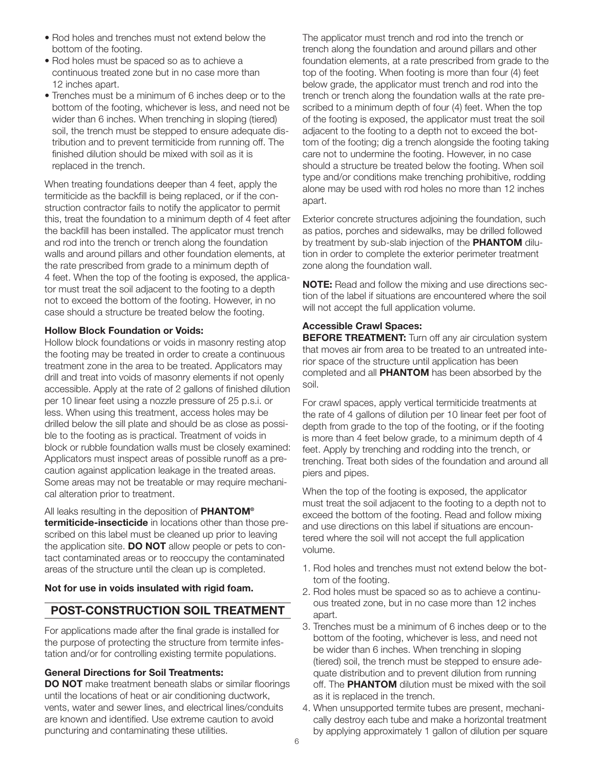- Rod holes and trenches must not extend below the bottom of the footing.
- Rod holes must be spaced so as to achieve a continuous treated zone but in no case more than 12 inches apart.
- Trenches must be a minimum of 6 inches deep or to the bottom of the footing, whichever is less, and need not be wider than 6 inches. When trenching in sloping (tiered) soil, the trench must be stepped to ensure adequate distribution and to prevent termiticide from running off. The finished dilution should be mixed with soil as it is replaced in the trench.

When treating foundations deeper than 4 feet, apply the termiticide as the backfill is being replaced, or if the construction contractor fails to notify the applicator to permit this, treat the foundation to a minimum depth of 4 feet after the backfill has been installed. The applicator must trench and rod into the trench or trench along the foundation walls and around pillars and other foundation elements, at the rate prescribed from grade to a minimum depth of 4 feet. When the top of the footing is exposed, the applicator must treat the soil adjacent to the footing to a depth not to exceed the bottom of the footing. However, in no case should a structure be treated below the footing.

#### Hollow Block Foundation or Voids:

Hollow block foundations or voids in masonry resting atop the footing may be treated in order to create a continuous treatment zone in the area to be treated. Applicators may drill and treat into voids of masonry elements if not openly accessible. Apply at the rate of 2 gallons of finished dilution per 10 linear feet using a nozzle pressure of 25 p.s.i. or less. When using this treatment, access holes may be drilled below the sill plate and should be as close as possible to the footing as is practical. Treatment of voids in block or rubble foundation walls must be closely examined: Applicators must inspect areas of possible runoff as a precaution against application leakage in the treated areas. Some areas may not be treatable or may require mechanical alteration prior to treatment.

All leaks resulting in the deposition of **PHANTOM®** termiticide-insecticide in locations other than those prescribed on this label must be cleaned up prior to leaving the application site. **DO NOT** allow people or pets to contact contaminated areas or to reoccupy the contaminated areas of the structure until the clean up is completed.

#### Not for use in voids insulated with rigid foam.

# POST-CONSTRUCTION SOIL TREATMENT

For applications made after the final grade is installed for the purpose of protecting the structure from termite infestation and/or for controlling existing termite populations.

#### General Directions for Soil Treatments:

DO NOT make treatment beneath slabs or similar floorings until the locations of heat or air conditioning ductwork, vents, water and sewer lines, and electrical lines/conduits are known and identified. Use extreme caution to avoid puncturing and contaminating these utilities.

The applicator must trench and rod into the trench or trench along the foundation and around pillars and other foundation elements, at a rate prescribed from grade to the top of the footing. When footing is more than four (4) feet below grade, the applicator must trench and rod into the trench or trench along the foundation walls at the rate prescribed to a minimum depth of four (4) feet. When the top of the footing is exposed, the applicator must treat the soil adjacent to the footing to a depth not to exceed the bottom of the footing; dig a trench alongside the footing taking care not to undermine the footing. However, in no case should a structure be treated below the footing. When soil type and/or conditions make trenching prohibitive, rodding alone may be used with rod holes no more than 12 inches apart.

Exterior concrete structures adjoining the foundation, such as patios, porches and sidewalks, may be drilled followed by treatment by sub-slab injection of the PHANTOM dilution in order to complete the exterior perimeter treatment zone along the foundation wall.

**NOTE:** Read and follow the mixing and use directions section of the label if situations are encountered where the soil will not accept the full application volume.

#### Accessible Crawl Spaces:

**BEFORE TREATMENT:** Turn off any air circulation system that moves air from area to be treated to an untreated interior space of the structure until application has been completed and all PHANTOM has been absorbed by the soil.

For crawl spaces, apply vertical termiticide treatments at the rate of 4 gallons of dilution per 10 linear feet per foot of depth from grade to the top of the footing, or if the footing is more than 4 feet below grade, to a minimum depth of 4 feet. Apply by trenching and rodding into the trench, or trenching. Treat both sides of the foundation and around all piers and pipes.

When the top of the footing is exposed, the applicator must treat the soil adjacent to the footing to a depth not to exceed the bottom of the footing. Read and follow mixing and use directions on this label if situations are encountered where the soil will not accept the full application volume.

- 1. Rod holes and trenches must not extend below the bottom of the footing.
- 2. Rod holes must be spaced so as to achieve a continuous treated zone, but in no case more than 12 inches apart.
- 3. Trenches must be a minimum of 6 inches deep or to the bottom of the footing, whichever is less, and need not be wider than 6 inches. When trenching in sloping (tiered) soil, the trench must be stepped to ensure adequate distribution and to prevent dilution from running off. The PHANTOM dilution must be mixed with the soil as it is replaced in the trench.
- 4. When unsupported termite tubes are present, mechanically destroy each tube and make a horizontal treatment by applying approximately 1 gallon of dilution per square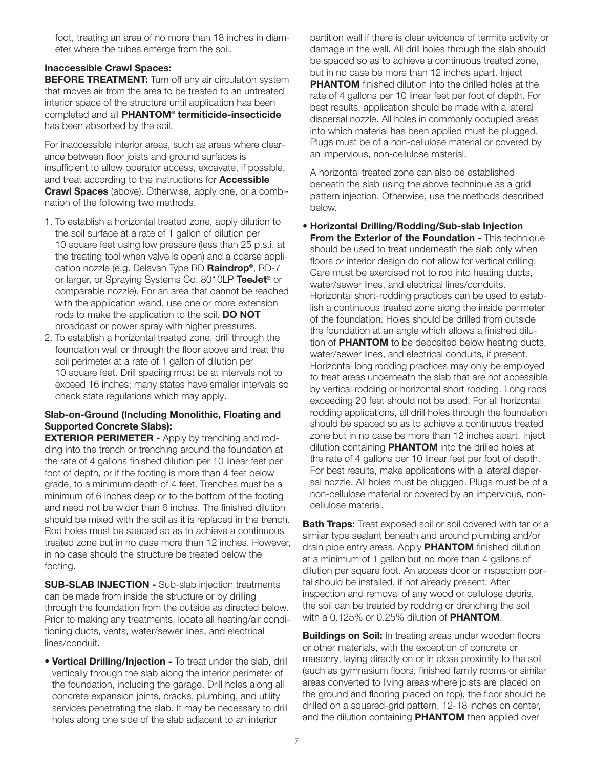foot, treating an area of no more than 18 inches in diameter where the tubes emerge from the soil.

## Inaccessible Crawl Spaces:

**BEFORE TREATMENT:** Turn off any air circulation system that moves air from the area to be treated to an untreated interior space of the structure until application has been completed and all PHANTOM® termiticide-insecticide has been absorbed by the soil.

For inaccessible interior areas, such as areas where clearance between floor joists and ground surfaces is insufficient to allow operator access, excavate, if possible, and treat according to the instructions for **Accessible Crawl Spaces** (above). Otherwise, apply one, or a combination of the following two methods.

- 1. To establish a horizontal treated zone, apply dilution to the soil surface at a rate of 1 gallon of dilution per 10 square feet using low pressure (less than 25 p.s.i. at the treating tool when valve is open) and a coarse application nozzle (e.g. Delavan Type RD Raindrop®, RD-7 or larger, or Spraying Systems Co. 8010LP TeeJet<sup>®</sup> or comparable nozzle). For an area that cannot be reached with the application wand, use one or more extension rods to make the application to the soil. DO NOT broadcast or power spray with higher pressures.
- 2. To establish a horizontal treated zone, drill through the foundation wall or through the floor above and treat the soil perimeter at a rate of 1 gallon of dilution per 10 square feet. Drill spacing must be at intervals not to exceed 16 inches; many states have smaller intervals so check state regulations which may apply.

#### Slab-on-Ground (Including Monolithic, Floating and Supported Concrete Slabs):

**EXTERIOR PERIMETER - Apply by trenching and rod**ding into the trench or trenching around the foundation at the rate of 4 gallons finished dilution per 10 linear feet per foot of depth, or if the footing is more than 4 feet below grade, to a minimum depth of 4 feet. Trenches must be a minimum of 6 inches deep or to the bottom of the footing and need not be wider than 6 inches. The finished dilution should be mixed with the soil as it is replaced in the trench. Rod holes must be spaced so as to achieve a continuous treated zone but in no case more than 12 inches. However, in no case should the structure be treated below the footing.

SUB-SLAB INJECTION - Sub-slab injection treatments can be made from inside the structure or by drilling through the foundation from the outside as directed below. Prior to making any treatments, locate all heating/air conditioning ducts, vents, water/sewer lines, and electrical lines/conduit.

**• Vertical Drilling/Injection - To treat under the slab, drill** vertically through the slab along the interior perimeter of the foundation, including the garage. Drill holes along all concrete expansion joints, cracks, plumbing, and utility services penetrating the slab. It may be necessary to drill holes along one side of the slab adjacent to an interior

partition wall if there is clear evidence of termite activity or damage in the wall. All drill holes through the slab should be spaced so as to achieve a continuous treated zone, but in no case be more than 12 inches apart. Inject **PHANTOM** finished dilution into the drilled holes at the rate of 4 gallons per 10 linear feet per foot of depth. For best results, application should be made with a lateral dispersal nozzle. All holes in commonly occupied areas into which material has been applied must be plugged. Plugs must be of a non-cellulose material or covered by an impervious, non-cellulose material.

A horizontal treated zone can also be established beneath the slab using the above technique as a grid pattern injection. Otherwise, use the methods described below.

• Horizontal Drilling/Rodding/Sub-slab Injection **From the Exterior of the Foundation - This technique** should be used to treat underneath the slab only when floors or interior design do not allow for vertical drilling. Care must be exercised not to rod into heating ducts, water/sewer lines, and electrical lines/conduits. Horizontal short-rodding practices can be used to establish a continuous treated zone along the inside perimeter of the foundation. Holes should be drilled from outside the foundation at an angle which allows a finished dilution of **PHANTOM** to be deposited below heating ducts, water/sewer lines, and electrical conduits, if present. Horizontal long rodding practices may only be employed to treat areas underneath the slab that are not accessible by vertical rodding or horizontal short rodding. Long rods exceeding 20 feet should not be used. For all horizontal rodding applications, all drill holes through the foundation should be spaced so as to achieve a continuous treated zone but in no case be more than 12 inches apart. Inject dilution containing **PHANTOM** into the drilled holes at the rate of 4 gallons per 10 linear feet per foot of depth. For best results, make applications with a lateral dispersal nozzle. All holes must be plugged. Plugs must be of a non-cellulose material or covered by an impervious, noncellulose material.

**Bath Traps:** Treat exposed soil or soil covered with tar or a similar type sealant beneath and around plumbing and/or drain pipe entry areas. Apply PHANTOM finished dilution at a minimum of 1 gallon but no more than 4 gallons of dilution per square foot. An access door or inspection portal should be installed, if not already present. After inspection and removal of any wood or cellulose debris, the soil can be treated by rodding or drenching the soil with a 0.125% or 0.25% dilution of **PHANTOM**.

**Buildings on Soil:** In treating areas under wooden floors or other materials, with the exception of concrete or masonry, laying directly on or in close proximity to the soil (such as gymnasium floors, finished family rooms or similar areas converted to living areas where joists are placed on the ground and flooring placed on top), the floor should be drilled on a squared-grid pattern, 12-18 inches on center, and the dilution containing **PHANTOM** then applied over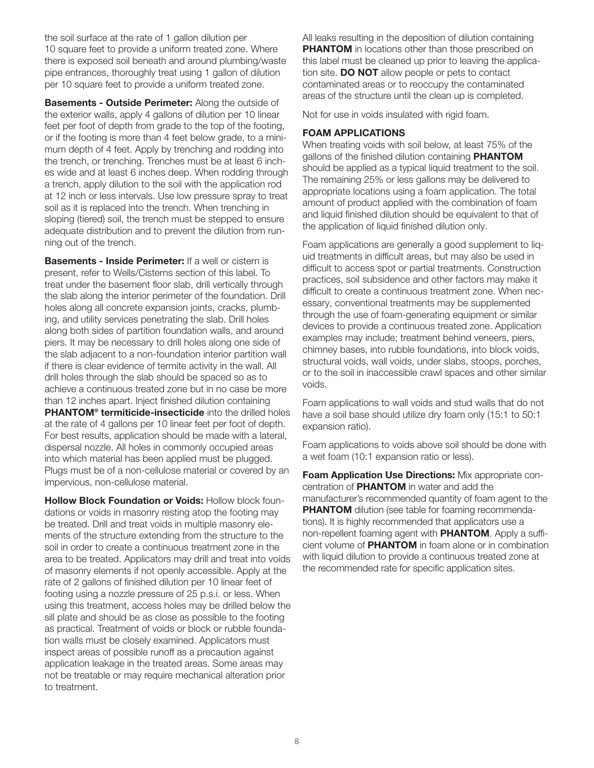the soil surface at the rate of 1 gallon dilution per 10 square feet to provide a uniform treated zone. Where there is exposed soil beneath and around plumbing/waste pipe entrances, thoroughly treat using 1 gallon of dilution per 10 square feet to provide a uniform treated zone.

**Basements - Outside Perimeter:** Along the outside of the exterior walls, apply 4 gallons of dilution per 10 linear feet per foot of depth from grade to the top of the footing, or if the footing is more than 4 feet below grade, to a minimum depth of 4 feet. Apply by trenching and rodding into the trench, or trenching. Trenches must be at least 6 inches wide and at least 6 inches deep. When rodding through a trench, apply dilution to the soil with the application rod at 12 inch or less intervals. Use low pressure spray to treat soil as it is replaced into the trench. When trenching in sloping (tiered) soil, the trench must be stepped to ensure adequate distribution and to prevent the dilution from running out of the trench.

**Basements - Inside Perimeter:** If a well or cistern is present, refer to Wells/Cisterns section of this label. To treat under the basement floor slab, drill vertically through the slab along the interior perimeter of the foundation. Drill holes along all concrete expansion joints, cracks, plumbing, and utility services penetrating the slab. Drill holes along both sides of partition foundation walls, and around piers. It may be necessary to drill holes along one side of the slab adjacent to a non-foundation interior partition wall if there is clear evidence of termite activity in the wall. All drill holes through the slab should be spaced so as to achieve a continuous treated zone but in no case be more than 12 inches apart. Inject finished dilution containing PHANTOM® termiticide-insecticide into the drilled holes at the rate of 4 gallons per 10 linear feet per foot of depth. For best results, application should be made with a lateral, dispersal nozzle. All holes in commonly occupied areas into which material has been applied must be plugged. Plugs must be of a non-cellulose material or covered by an impervious, non-cellulose material.

Hollow Block Foundation or Voids: Hollow block foundations or voids in masonry resting atop the footing may be treated. Drill and treat voids in multiple masonry elements of the structure extending from the structure to the soil in order to create a continuous treatment zone in the area to be treated. Applicators may drill and treat into voids of masonry elements if not openly accessible. Apply at the rate of 2 gallons of finished dilution per 10 linear feet of footing using a nozzle pressure of 25 p.s.i. or less. When using this treatment, access holes may be drilled below the sill plate and should be as close as possible to the footing as practical. Treatment of voids or block or rubble foundation walls must be closely examined. Applicators must inspect areas of possible runoff as a precaution against application leakage in the treated areas. Some areas may not be treatable or may require mechanical alteration prior to treatment.

All leaks resulting in the deposition of dilution containing **PHANTOM** in locations other than those prescribed on this label must be cleaned up prior to leaving the application site. **DO NOT** allow people or pets to contact contaminated areas or to reoccupy the contaminated areas of the structure until the clean up is completed.

Not for use in voids insulated with rigid foam.

#### FOAM APPLICATIONS

When treating voids with soil below, at least 75% of the gallons of the finished dilution containing **PHANTOM** should be applied as a typical liquid treatment to the soil. The remaining 25% or less gallons may be delivered to appropriate locations using a foam application. The total amount of product applied with the combination of foam and liquid finished dilution should be equivalent to that of the application of liquid finished dilution only.

Foam applications are generally a good supplement to liquid treatments in difficult areas, but may also be used in difficult to access spot or partial treatments. Construction practices, soil subsidence and other factors may make it difficult to create a continuous treatment zone. When necessary, conventional treatments may be supplemented through the use of foam-generating equipment or similar devices to provide a continuous treated zone. Application examples may include; treatment behind veneers, piers, chimney bases, into rubble foundations, into block voids, structural voids, wall voids, under slabs, stoops, porches, or to the soil in inaccessible crawl spaces and other similar voids.

Foam applications to wall voids and stud walls that do not have a soil base should utilize dry foam only (15:1 to 50:1 expansion ratio).

Foam applications to voids above soil should be done with a wet foam (10:1 expansion ratio or less).

Foam Application Use Directions: Mix appropriate concentration of PHANTOM in water and add the manufacturer's recommended quantity of foam agent to the **PHANTOM** dilution (see table for foaming recommendations). It is highly recommended that applicators use a non-repellent foaming agent with **PHANTOM**. Apply a sufficient volume of PHANTOM in foam alone or in combination with liquid dilution to provide a continuous treated zone at the recommended rate for specific application sites.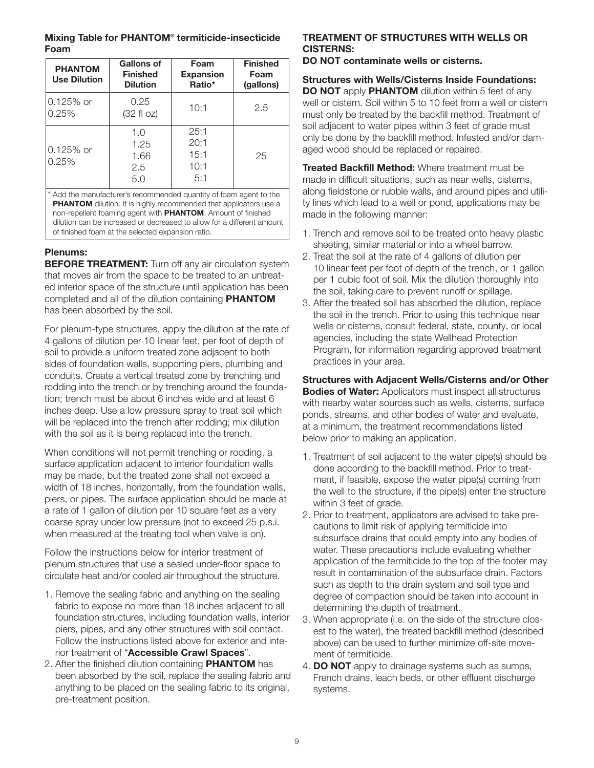#### Mixing Table for PHANTOM® termiticide-insecticide Foam

| <b>PHANTOM</b><br><b>Use Dilution</b> | Gallons of<br><b>Finished</b><br><b>Dilution</b> | Foam<br><b>Expansion</b><br>Ratio*  | <b>Finished</b><br>Foam<br>(gallons) |
|---------------------------------------|--------------------------------------------------|-------------------------------------|--------------------------------------|
| 0.125% or<br>0.25%                    | 0.25<br>$(32 \text{ fl oz})$                     | 10:1                                | 2.5                                  |
| 0.125% or<br>0.25%                    | 1.0<br>1.25<br>1.66<br>2.5<br>5.0                | 25:1<br>20:1<br>15:1<br>10:1<br>5:1 | 25                                   |

Add the manufacturer's recommended quantity of foam agent to the **PHANTOM** dilution. It is highly recommended that applicators use a non-repellent foaming agent with PHANTOM. Amount of finished dilution can be increased or decreased to allow for a different amount of finished foam at the selected expansion ratio.

#### Plenums:

**BEFORE TREATMENT:** Turn off any air circulation system that moves air from the space to be treated to an untreated interior space of the structure until application has been completed and all of the dilution containing PHANTOM has been absorbed by the soil.

For plenum-type structures, apply the dilution at the rate of 4 gallons of dilution per 10 linear feet, per foot of depth of soil to provide a uniform treated zone adjacent to both sides of foundation walls, supporting piers, plumbing and conduits. Create a vertical treated zone by trenching and rodding into the trench or by trenching around the foundation; trench must be about 6 inches wide and at least 6 inches deep. Use a low pressure spray to treat soil which will be replaced into the trench after rodding; mix dilution with the soil as it is being replaced into the trench.

When conditions will not permit trenching or rodding, a surface application adjacent to interior foundation walls may be made, but the treated zone shall not exceed a width of 18 inches, horizontally, from the foundation walls, piers, or pipes. The surface application should be made at a rate of 1 gallon of dilution per 10 square feet as a very coarse spray under low pressure (not to exceed 25 p.s.i. when measured at the treating tool when valve is on).

Follow the instructions below for interior treatment of plenum structures that use a sealed under-floor space to circulate heat and/or cooled air throughout the structure.

- 1. Remove the sealing fabric and anything on the sealing fabric to expose no more than 18 inches adjacent to all foundation structures, including foundation walls, interior piers, pipes, and any other structures with soil contact. Follow the instructions listed above for exterior and interior treatment of "Accessible Crawl Spaces".
- 2. After the finished dilution containing PHANTOM has been absorbed by the soil, replace the sealing fabric and anything to be placed on the sealing fabric to its original, pre-treatment position.

#### TREATMENT OF STRUCTURES WITH WELLS OR CISTERNS:

DO NOT contaminate wells or cisterns.

Structures with Wells/Cisterns Inside Foundations: DO NOT apply PHANTOM dilution within 5 feet of any well or cistern. Soil within 5 to 10 feet from a well or cistern must only be treated by the backfill method. Treatment of soil adjacent to water pipes within 3 feet of grade must only be done by the backfill method. Infested and/or damaged wood should be replaced or repaired.

**Treated Backfill Method:** Where treatment must be made in difficult situations, such as near wells, cisterns, along fieldstone or rubble walls, and around pipes and utility lines which lead to a well or pond, applications may be made in the following manner:

- 1. Trench and remove soil to be treated onto heavy plastic sheeting, similar material or into a wheel barrow.
- 2. Treat the soil at the rate of 4 gallons of dilution per 10 linear feet per foot of depth of the trench, or 1 gallon per 1 cubic foot of soil. Mix the dilution thoroughly into the soil, taking care to prevent runoff or spillage.
- 3. After the treated soil has absorbed the dilution, replace the soil in the trench. Prior to using this technique near wells or cisterns, consult federal, state, county, or local agencies, including the state Wellhead Protection Program, for information regarding approved treatment practices in your area.

Structures with Adjacent Wells/Cisterns and/or Other **Bodies of Water:** Applicators must inspect all structures with nearby water sources such as wells, cisterns, surface ponds, streams, and other bodies of water and evaluate, at a minimum, the treatment recommendations listed below prior to making an application.

- 1. Treatment of soil adjacent to the water pipe(s) should be done according to the backfill method. Prior to treatment, if feasible, expose the water pipe(s) coming from the well to the structure, if the pipe(s) enter the structure within 3 feet of grade.
- 2. Prior to treatment, applicators are advised to take precautions to limit risk of applying termiticide into subsurface drains that could empty into any bodies of water. These precautions include evaluating whether application of the termiticide to the top of the footer may result in contamination of the subsurface drain. Factors such as depth to the drain system and soil type and degree of compaction should be taken into account in determining the depth of treatment.
- 3. When appropriate (i.e. on the side of the structure closest to the water), the treated backfill method (described above) can be used to further minimize off-site movement of termiticide.
- 4. **DO NOT** apply to drainage systems such as sumps, French drains, leach beds, or other effluent discharge systems.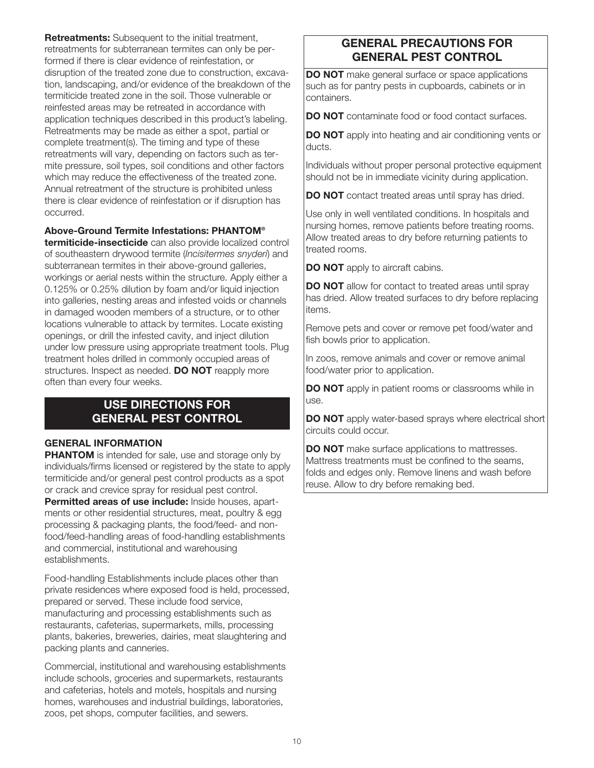**Retreatments:** Subsequent to the initial treatment, retreatments for subterranean termites can only be performed if there is clear evidence of reinfestation, or disruption of the treated zone due to construction, excavation, landscaping, and/or evidence of the breakdown of the termiticide treated zone in the soil. Those vulnerable or reinfested areas may be retreated in accordance with application techniques described in this product's labeling. Retreatments may be made as either a spot, partial or complete treatment(s). The timing and type of these retreatments will vary, depending on factors such as termite pressure, soil types, soil conditions and other factors which may reduce the effectiveness of the treated zone. Annual retreatment of the structure is prohibited unless there is clear evidence of reinfestation or if disruption has occurred.

### Above-Ground Termite Infestations: PHANTOM®

termiticide-insecticide can also provide localized control of southeastern drywood termite (Incisitermes snyderi) and subterranean termites in their above-ground galleries, workings or aerial nests within the structure. Apply either a 0.125% or 0.25% dilution by foam and/or liquid injection into galleries, nesting areas and infested voids or channels in damaged wooden members of a structure, or to other locations vulnerable to attack by termites. Locate existing openings, or drill the infested cavity, and inject dilution under low pressure using appropriate treatment tools. Plug treatment holes drilled in commonly occupied areas of structures. Inspect as needed. **DO NOT** reapply more often than every four weeks.

# USE DIRECTIONS FOR GENERAL PEST CONTROL

#### GENERAL INFORMATION

**PHANTOM** is intended for sale, use and storage only by individuals/firms licensed or registered by the state to apply termiticide and/or general pest control products as a spot or crack and crevice spray for residual pest control.

Permitted areas of use include: Inside houses, apartments or other residential structures, meat, poultry & egg processing & packaging plants, the food/feed- and nonfood/feed-handling areas of food-handling establishments and commercial, institutional and warehousing establishments.

Food-handling Establishments include places other than private residences where exposed food is held, processed, prepared or served. These include food service, manufacturing and processing establishments such as restaurants, cafeterias, supermarkets, mills, processing plants, bakeries, breweries, dairies, meat slaughtering and packing plants and canneries.

Commercial, institutional and warehousing establishments include schools, groceries and supermarkets, restaurants and cafeterias, hotels and motels, hospitals and nursing homes, warehouses and industrial buildings, laboratories, zoos, pet shops, computer facilities, and sewers.

# GENERAL PRECAUTIONS FOR GENERAL PEST CONTROL

**DO NOT** make general surface or space applications such as for pantry pests in cupboards, cabinets or in containers.

DO NOT contaminate food or food contact surfaces.

DO NOT apply into heating and air conditioning vents or ducts.

Individuals without proper personal protective equipment should not be in immediate vicinity during application.

DO NOT contact treated areas until spray has dried.

Use only in well ventilated conditions. In hospitals and nursing homes, remove patients before treating rooms. Allow treated areas to dry before returning patients to treated rooms.

**DO NOT** apply to aircraft cabins.

**DO NOT** allow for contact to treated areas until spray has dried. Allow treated surfaces to dry before replacing items.

Remove pets and cover or remove pet food/water and fish bowls prior to application.

In zoos, remove animals and cover or remove animal food/water prior to application.

**DO NOT** apply in patient rooms or classrooms while in use.

**DO NOT** apply water-based sprays where electrical short circuits could occur.

**DO NOT** make surface applications to mattresses. Mattress treatments must be confined to the seams, folds and edges only. Remove linens and wash before reuse. Allow to dry before remaking bed.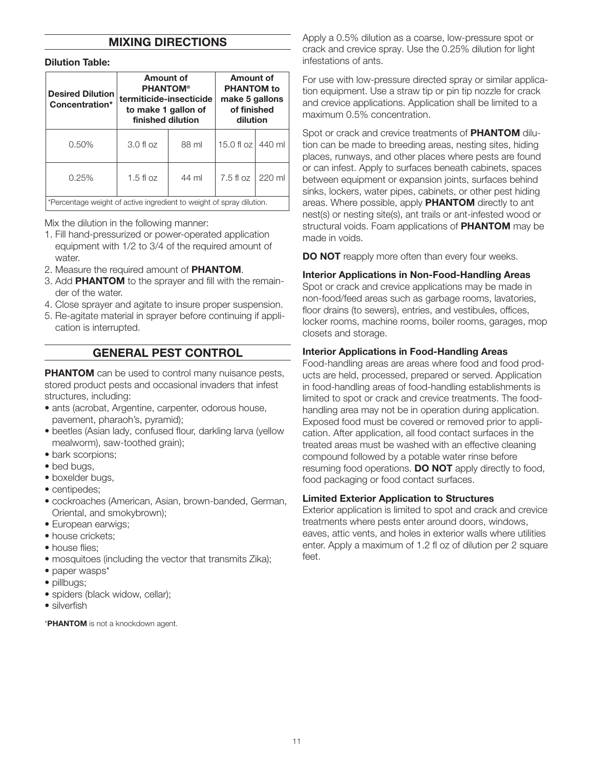#### MIXING DIRECTIONS

#### Dilution Table:

| <b>Desired Dilution</b><br>Concentration*                            | <b>Amount of</b><br><b>PHANTOM®</b><br>termiticide-insecticide<br>to make 1 gallon of<br>finished dilution |       | Amount of<br><b>PHANTOM</b> to<br>make 5 gallons<br>of finished<br>dilution |        |
|----------------------------------------------------------------------|------------------------------------------------------------------------------------------------------------|-------|-----------------------------------------------------------------------------|--------|
| 0.50%                                                                | $3.0$ fl oz                                                                                                | 88 ml | 15.0 fl $oz$                                                                | 440 ml |
| 0.25%                                                                | $1.5$ fl oz                                                                                                | 44 ml | $7.5f$ loz                                                                  | 220 ml |
| *Percentage weight of active ingredient to weight of spray dilution. |                                                                                                            |       |                                                                             |        |

Mix the dilution in the following manner:

- 1. Fill hand-pressurized or power-operated application equipment with 1/2 to 3/4 of the required amount of water.
- 2. Measure the required amount of PHANTOM.
- 3. Add PHANTOM to the sprayer and fill with the remainder of the water.
- 4. Close sprayer and agitate to insure proper suspension.
- 5. Re-agitate material in sprayer before continuing if application is interrupted.

## GENERAL PEST CONTROL

**PHANTOM** can be used to control many nuisance pests, stored product pests and occasional invaders that infest structures, including:

- ants (acrobat, Argentine, carpenter, odorous house, pavement, pharaoh's, pyramid);
- beetles (Asian lady, confused flour, darkling larva (yellow mealworm), saw-toothed grain);
- bark scorpions;
- bed bugs,
- boxelder bugs,
- centipedes;
- cockroaches (American, Asian, brown-banded, German, Oriental, and smokybrown);
- European earwigs;
- house crickets;
- house flies;
- mosquitoes (including the vector that transmits Zika);
- paper wasps\*
- pillbugs;
- spiders (black widow, cellar);
- silverfish

\***PHANTOM** is not a knockdown agent.

Apply a 0.5% dilution as a coarse, low-pressure spot or crack and crevice spray. Use the 0.25% dilution for light infestations of ants.

For use with low-pressure directed spray or similar application equipment. Use a straw tip or pin tip nozzle for crack and crevice applications. Application shall be limited to a maximum 0.5% concentration.

Spot or crack and crevice treatments of **PHANTOM** dilution can be made to breeding areas, nesting sites, hiding places, runways, and other places where pests are found or can infest. Apply to surfaces beneath cabinets, spaces between equipment or expansion joints, surfaces behind sinks, lockers, water pipes, cabinets, or other pest hiding areas. Where possible, apply PHANTOM directly to ant nest(s) or nesting site(s), ant trails or ant-infested wood or structural voids. Foam applications of **PHANTOM** may be made in voids.

DO NOT reapply more often than every four weeks.

#### Interior Applications in Non-Food-Handling Areas

Spot or crack and crevice applications may be made in non-food/feed areas such as garbage rooms, lavatories, floor drains (to sewers), entries, and vestibules, offices, locker rooms, machine rooms, boiler rooms, garages, mop closets and storage.

#### Interior Applications in Food-Handling Areas

Food-handling areas are areas where food and food products are held, processed, prepared or served. Application in food-handling areas of food-handling establishments is limited to spot or crack and crevice treatments. The foodhandling area may not be in operation during application. Exposed food must be covered or removed prior to application. After application, all food contact surfaces in the treated areas must be washed with an effective cleaning compound followed by a potable water rinse before resuming food operations. **DO NOT** apply directly to food, food packaging or food contact surfaces.

#### Limited Exterior Application to Structures

Exterior application is limited to spot and crack and crevice treatments where pests enter around doors, windows, eaves, attic vents, and holes in exterior walls where utilities enter. Apply a maximum of 1.2 fl oz of dilution per 2 square feet.